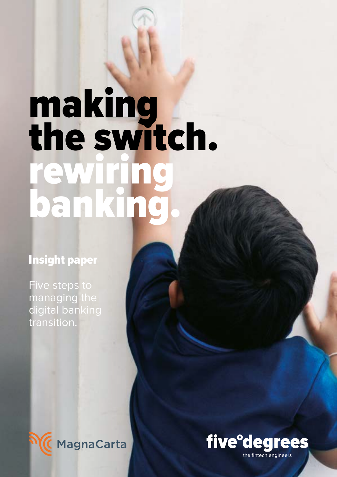# making the switch. ewir banking.

# Insight paper

Five steps to managing the digital banking transition.



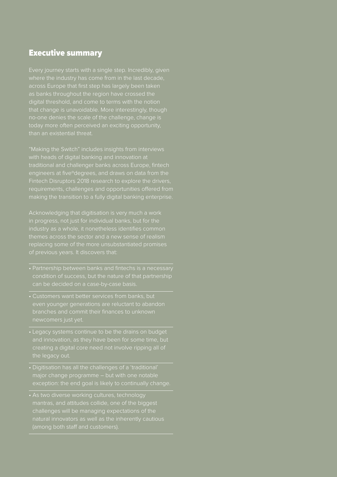#### Executive summary

Every journey starts with a single step. Incredibly, given where the industry has come from in the last decade, across Europe that first step has largely been taken as banks throughout the region have crossed the digital threshold, and come to terms with the notion that change is unavoidable. More interestingly, though no-one denies the scale of the challenge, change is today more often perceived an exciting opportunity,

"Making the Switch" includes insights from interviews with heads of digital banking and innovation at traditional and challenger banks across Europe, fintech engineers at fiveºdegrees, and draws on data from the Fintech Disruptors 2018 research to explore the drivers, requirements, challenges and opportunities offered from making the transition to a fully digital banking enterprise.

Acknowledging that digitisation is very much a work in progress, not just for individual banks, but for the themes across the sector and a new sense of realism of previous years. It discovers that:

- condition of success, but the nature of that partnership can be decided on a case-by-case basis.
- Customers want better services from banks, but even younger generations are reluctant to abandon newcomers just yet.
- Legacy systems continue to be the drains on budget creating a digital core need not involve ripping all of the legacy out.
- Digitisation has all the challenges of a 'traditional' major change programme – but with one notable exception: the end goal is likely to continually change.
- As two diverse working cultures, technology mantras, and attitudes collide, one of the biggest challenges will be managing expectations of the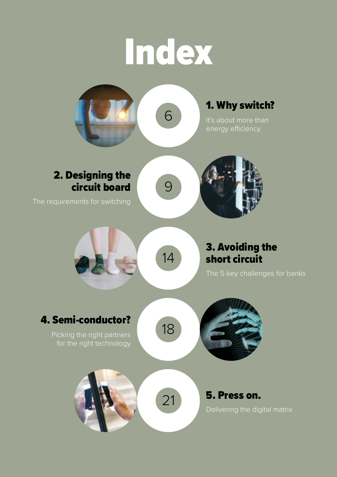# Index

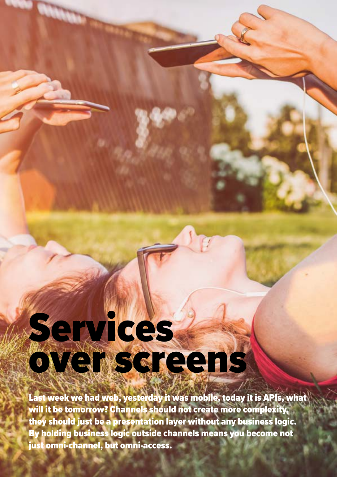# Services **overscreens**

Last week we had web, yesterday it was mobile, today it is APIs, what will it be tomorrow? Channels should not create more complexity, they should just be a presentation layer without any business logic. By holding business logic outside channels means you become not just omni-channel, but omni-access.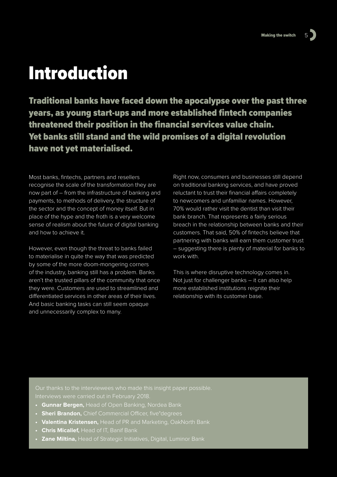# Introduction

Traditional banks have faced down the apocalypse over the past three years, as young start-ups and more established fintech companies threatened their position in the financial services value chain. Yet banks still stand and the wild promises of a digital revolution have not yet materialised.

Most banks, fintechs, partners and resellers recognise the scale of the transformation they are now part of – from the infrastructure of banking and payments, to methods of delivery, the structure of the sector and the concept of money itself. But in place of the hype and the froth is a very welcome sense of realism about the future of digital banking and how to achieve it.

However, even though the threat to banks failed to materialise in quite the way that was predicted by some of the more doom-mongering corners of the industry, banking still has a problem. Banks aren't the trusted pillars of the community that once they were. Customers are used to streamlined and differentiated services in other areas of their lives. And basic banking tasks can still seem opaque and unnecessarily complex to many.

Right now, consumers and businesses still depend on traditional banking services, and have proved reluctant to trust their financial affairs completely to newcomers and unfamiliar names. However, 70% would rather visit the dentist than visit their bank branch. That represents a fairly serious breach in the relationship between banks and their customers. That said, 50% of fintechs believe that partnering with banks will earn them customer trust – suggesting there is plenty of material for banks to work with.

This is where disruptive technology comes in. Not just for challenger banks – it can also help more established institutions reignite their relationship with its customer base.

Our thanks to the interviewees who made this insight paper possible. Interviews were carried out in February 2018.

- **• Gunnar Bergen,** Head of Open Banking, Nordea Bank
- **• Sheri Brandon,** Chief Commercial Officer, five°degrees
- **• Valentina Kristensen,** Head of PR and Marketing, OakNorth Bank
- **• Chris Micallef,** Head of IT, Banif Bank
- **• Zane Miltina,** Head of Strategic Initiatives, Digital, Luminor Bank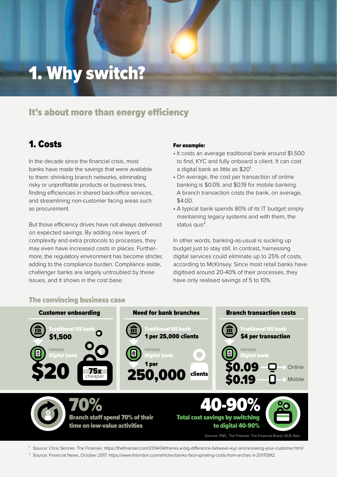# 1. Why switch?

#### It's about more than energy efficiency

#### 1. Costs

In the decade since the financial crisis, most banks have made the savings that were available to them: shrinking branch networks, eliminating risky or unprofitable products or business lines, finding efficiencies in shared back-office services, and streamlining non-customer facing areas such as procurement.

But those efficiency drives have not always delivered on expected savings. By adding new layers of complexity and extra protocols to processes, they may even have increased costs in places. Furthermore, the regulatory environment has become stricter, adding to the compliance burden. Compliance aside, challenger banks are largely untroubled by these issues, and it shows in the cost base.

#### For example:

- It costs an average traditional bank around \$1,500 to find, KYC and fully onboard a client. It can cost a digital bank as little as \$20<sup>1</sup>.
- On average, the cost per transaction of online banking is \$0.09, and \$0.19 for mobile banking. A branch transaction costs the bank, on average, \$4.00.
- A typical bank spends 80% of its IT budget simply maintaining legacy systems and with them, the status quo<sup>2</sup>.

In other words, banking-as-usual is sucking up budget just to stay still. In contrast, harnessing digital services could eliminate up to 25% of costs, according to McKinsey. Since most retail banks have digitised around 20-40% of their processes, they have only realised savings of 5 to 10%.



<sup>1</sup> Source: Chris Skinner, The Finanser, <https://thefinanser.com/2014/04/theres-a-big-difference-between-kyc-and-knowing-your-customer.html/>

<sup>2</sup> Source: Financial News, October 2017, <https://www.fnlondon.com/articles/banks-face-spiraling-costs-from-archaic-it-20170912>

#### The convincing business case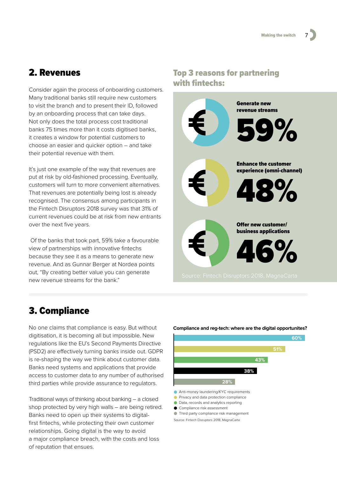#### 2. Revenues

Consider again the process of onboarding customers. Many traditional banks still require new customers to visit the branch and to present their ID, followed by an onboarding process that can take days. Not only does the total process cost traditional 48% 43% banks 75 times more than it costs digitised banks, it creates a window for potential customers to choose an easier and quicker option – and take their potential revenue with them.

It's just one example of the way that revenues are as yest one example of the way that revenues are<br>put at risk by old-fashioned processing. Eventually, customers will turn to more convenient alternatives. That revenues are potentially being lost is already recognised. The consensus among participants in the Fintech Disruptors 2018 survey was that 31% of current revenues could be at risk from new entrants over the next five years.

Of the banks that took part, 59% take a favourable view of partnerships with innovative fintechs because they see it as a means to generate new revenue. And as Gunnar Berger at Nordea points out, "By creating better value you can generate new revenue streams for the bank."

#### 3. Compliance

No one claims that compliance is easy. But without digitisation, it is becoming all but impossible. New regulations like the EU's Second Payments Directive (PSD2) are effectively turning banks inside out. GDPR is re-shaping the way we think about customer data. Banks need systems and applications that provide access to customer data to any number of authorised third parties while provide assurance to regulators.

Traditional ways of thinking about banking – a closed shop protected by very high walls – are being retired. Banks need to open up their systems to digitalfirst fintechs, while protecting their own customer relationships. Going digital is the way to avoid a major compliance breach, with the costs and loss of reputation that ensues.

#### Top 3 reasons for partnering with fintechs:



#### **Compliance and reg-tech: where are the digital opportunites?**



Anti-money laundering/KYC requirements

- **Privacy and data protection compliance**
- Data, records and analytics reporting

Compliance risk assessment Third party compliance risk management Source: Fintech Disruptors 2018, MagnaCarta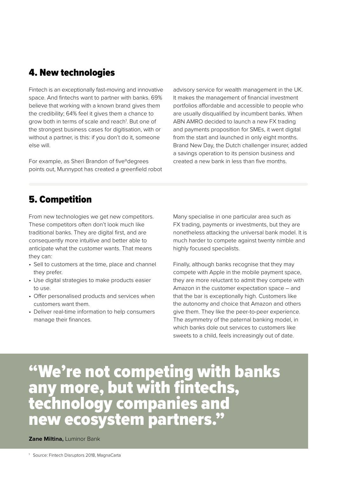#### 4. New technologies

Fintech is an exceptionally fast-moving and innovative space. And fintechs want to partner with banks. 69% believe that working with a known brand gives them the credibility; 64% feel it gives them a chance to grow both in terms of scale and reach<sup>1</sup>. But one of the strongest business cases for digitisation, with or without a partner, is this: if you don't do it, someone else will.

For example, as Sheri Brandon of fiveºdegrees points out, Munnypot has created a greenfield robot advisory service for wealth management in the UK. It makes the management of financial investment portfolios affordable and accessible to people who are usually disqualified by incumbent banks. When ABN AMRO decided to launch a new FX trading and payments proposition for SMEs, it went digital from the start and launched in only eight months. Brand New Day, the Dutch challenger insurer, added a savings operation to its pension business and created a new bank in less than five months.

#### 5. Competition

From new technologies we get new competitors. These competitors often don't look much like traditional banks. They are digital first, and are consequently more intuitive and better able to anticipate what the customer wants. That means they can:

- Sell to customers at the time, place and channel they prefer.
- Use digital strategies to make products easier to use.
- Offer personalised products and services when customers want them.
- Deliver real-time information to help consumers manage their finances.

Many specialise in one particular area such as FX trading, payments or investments, but they are nonetheless attacking the universal bank model. It is much harder to compete against twenty nimble and highly focused specialists.

Finally, although banks recognise that they may compete with Apple in the mobile payment space, they are more reluctant to admit they compete with Amazon in the customer expectation space – and that the bar is exceptionally high. Customers like the autonomy and choice that Amazon and others give them. They like the peer-to-peer experience. The asymmetry of the paternal banking model, in which banks dole out services to customers like sweets to a child, feels increasingly out of date.

# "We're not competing with banks any more, but with fintechs, technology companies and new ecosystem partners."

#### **Zane Miltina,** Luminor Bank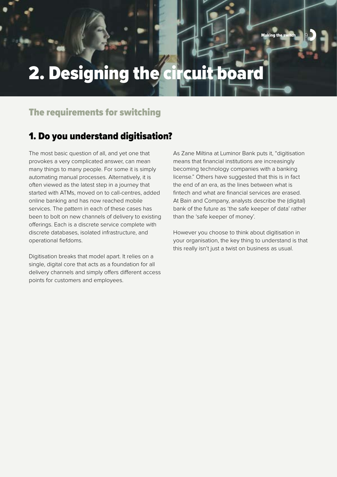# 2. Designing the circuit board

## The requirements for switching

#### 1. Do you understand digitisation?

The most basic question of all, and yet one that provokes a very complicated answer, can mean many things to many people. For some it is simply automating manual processes. Alternatively, it is often viewed as the latest step in a journey that started with ATMs, moved on to call-centres, added online banking and has now reached mobile services. The pattern in each of these cases has been to bolt on new channels of delivery to existing offerings. Each is a discrete service complete with discrete databases, isolated infrastructure, and operational fiefdoms.

Digitisation breaks that model apart. It relies on a single, digital core that acts as a foundation for all delivery channels and simply offers different access points for customers and employees.

As Zane Miltina at Luminor Bank puts it, "digitisation means that financial institutions are increasingly becoming technology companies with a banking license." Others have suggested that this is in fact the end of an era, as the lines between what is fintech and what are financial services are erased. At Bain and Company, analysts describe the (digital) bank of the future as 'the safe keeper of data' rather than the 'safe keeper of money'.

**Making the switch 9** 

However you choose to think about digitisation in your organisation, the key thing to understand is that this really isn't just a twist on business as usual.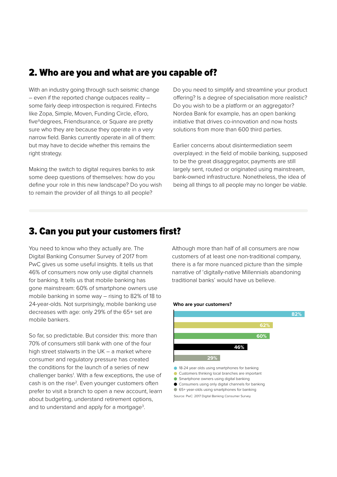#### 2. Who are you and what are you capable of?

With an industry going through such seismic change – even if the reported change outpaces reality – some fairly deep introspection is required. Fintechs like Zopa, Simple, Moven, Funding Circle, eToro, fiveºdegrees, Friendsurance, or Square are pretty sure who they are because they operate in a very narrow field. Banks currently operate in all of them: but may have to decide whether this remains the right strategy.

Making the switch to digital requires banks to ask some deep questions of themselves: how do you define your role in this new landscape? Do you wish to remain the provider of all things to all people?

Do you need to simplify and streamline your product offering? Is a degree of specialisation more realistic? Do you wish to be a platform or an aggregator? Nordea Bank for example, has an open banking initiative that drives co-innovation and now hosts solutions from more than 600 third parties.

Earlier concerns about disintermediation seem overplayed: in the field of mobile banking, supposed to be the great disaggregator, payments are still largely sent, routed or originated using mainstream, bank-owned infrastructure. Nonetheless, the idea of being all things to all people may no longer be viable.

#### 3. Can you put your customers first?

You need to know who they actually are. The Digital Banking Consumer Survey of 2017 from PwC gives us some useful insights. It tells us that 46% of consumers now only use digital channels for banking. It tells us that mobile banking has gone mainstream: 60% of smartphone owners use mobile banking in some way – rising to 82% of 18 to 24-year-olds. Not surprisingly, mobile banking use decreases with age: only 29% of the 65+ set are mobile bankers.

So far, so predictable. But consider this: more than 70% of consumers still bank with one of the four high street stalwarts in the UK – a market where consumer and regulatory pressure has created the conditions for the launch of a series of new challenger banks<sup>1</sup>. With a few exceptions, the use of cash is on the rise<sup>2</sup>. Even younger customers often prefer to visit a branch to open a new account, learn about budgeting, understand retirement options, and to understand and apply for a mortgage<sup>3</sup>.

Although more than half of all consumers are now customers of at least one non-traditional company, there is a far more nuanced picture than the simple narrative of 'digitally-native Millennials abandoning traditional banks' would have us believe.

#### **Who are your customers?**



Source: PwC: 2017 Digital Banking Consumer Survey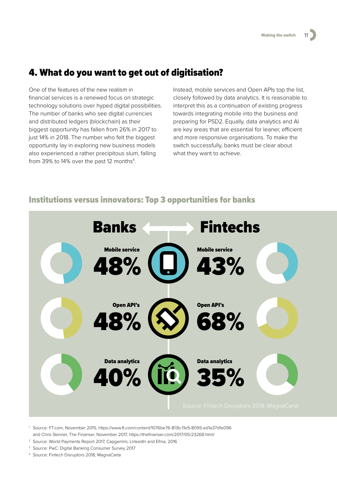## 4. What do you want to get out of digitisation?

One of the features of the new realism in financial services is a renewed focus on strategic technology solutions over hyped digital possibilities. The number of banks who see digital currencies and distributed ledgers (blockchain) as their biggest opportunity has fallen from 26% in 2017 to just 14% in 2018. The number who felt the biggest opportunity lay in exploring new business models also experienced a rather precipitous slum, falling from 39% to 14% over the past 12 months<sup>4</sup>.

Instead, mobile services and Open APIs top the list, closely followed by data analytics. It is reasonable to interpret this as a continuation of existing progress towards integrating mobile into the business and preparing for PSD2. Equally, data analytics and AI are key areas that are essential for leaner, efficient and more responsive organisations. To make the switch successfully, banks must be clear about what they want to achieve.

#### Banks **Fintechs** 43% 68% 35% 48% 48% 40% Mobile service Open API's Data analytics Mobile service Open API's Data analytics  $\blacksquare$ 48% 40% 71 **68** 35%  $\overline{\phantom{a}}$  $\blacksquare$ 40%  $\blacksquare$ 68 51  $\overline{\phantom{a}}$  $\overline{\phantom{a}}$  $\blacksquare$  $\overline{\phantom{a}}$  $\blacksquare$ 21 **19** 48%  $\blacktriangleright$ 19  $\blacklozenge$  $\blacktriangleright$  $\overline{a}$  $\overline{a}$ 40%

#### Institutions versus innovators: Top 3 opportunities for banks

<sup>1</sup> Source: FT.com, November 2015, <https://www.ft.com/content/1076be76-813b-11e5-8095-ed1a37d1e096>

- and Chris Skinner, The Finanser, November 2017,<https://thefinanser.com/2017/05/23268.html/>
- <sup>2</sup> Source: World Payments Report 2017, Capgemini, LinkedIn and Efma, 2016
- <sup>3</sup> Source: PwC: Digital Banking Consumer Survey 2017
- <sup>4</sup> Source: Fintech Disruptors 2018, MagnaCarta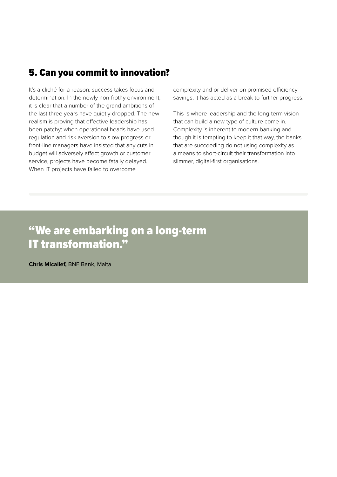### 5. Can you commit to innovation?

It's a cliché for a reason: success takes focus and determination. In the newly non-frothy environment, it is clear that a number of the grand ambitions of the last three years have quietly dropped. The new realism is proving that effective leadership has been patchy: when operational heads have used regulation and risk aversion to slow progress or front-line managers have insisted that any cuts in budget will adversely affect growth or customer service, projects have become fatally delayed. When IT projects have failed to overcome

complexity and or deliver on promised efficiency savings, it has acted as a break to further progress.

This is where leadership and the long-term vision that can build a new type of culture come in. Complexity is inherent to modern banking and though it is tempting to keep it that way, the banks that are succeeding do not using complexity as a means to short-circuit their transformation into slimmer, digital-first organisations.

## "We are embarking on a long-term IT transformation."

**Chris Micallef,** BNF Bank, Malta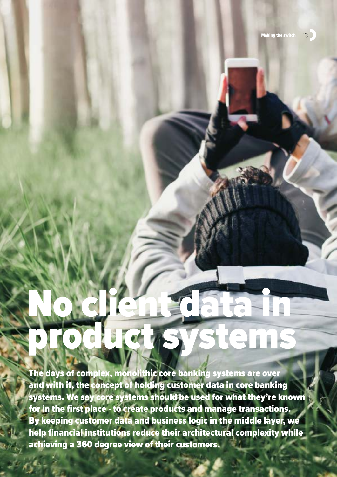# No client data in products systems

The days of complex, monolithic core banking systems are over and with it, the concept of holding customer data in core banking systems. We say core systems should be used for what they're known for in the first place - to create products and manage transactions. By keeping customer data and business logic in the middle layer, we help financial institutions reduce their architectural complexity while achieving a 360 degree view of their customers.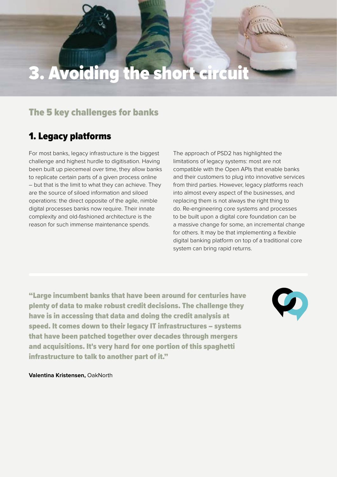# 3. Avoiding the short circuit

### The 5 key challenges for banks

## 1. Legacy platforms

For most banks, legacy infrastructure is the biggest challenge and highest hurdle to digitisation. Having been built up piecemeal over time, they allow banks to replicate certain parts of a given process online – but that is the limit to what they can achieve. They are the source of siloed information and siloed operations: the direct opposite of the agile, nimble digital processes banks now require. Their innate complexity and old-fashioned architecture is the reason for such immense maintenance spends.

The approach of PSD2 has highlighted the limitations of legacy systems: most are not compatible with the Open APIs that enable banks and their customers to plug into innovative services from third parties. However, legacy platforms reach into almost every aspect of the businesses, and replacing them is not always the right thing to do. Re-engineering core systems and processes to be built upon a digital core foundation can be a massive change for some, an incremental change for others. It may be that implementing a flexible digital banking platform on top of a traditional core system can bring rapid returns.

"Large incumbent banks that have been around for centuries have plenty of data to make robust credit decisions. The challenge they have is in accessing that data and doing the credit analysis at speed. It comes down to their legacy IT infrastructures – systems that have been patched together over decades through mergers and acquisitions. It's very hard for one portion of this spaghetti infrastructure to talk to another part of it."



**Valentina Kristensen,** OakNorth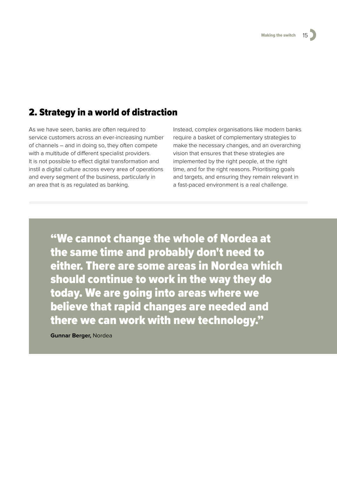## 2. Strategy in a world of distraction

As we have seen, banks are often required to service customers across an ever-increasing number of channels – and in doing so, they often compete with a multitude of different specialist providers. It is not possible to effect digital transformation and instil a digital culture across every area of operations and every segment of the business, particularly in an area that is as regulated as banking.

Instead, complex organisations like modern banks require a basket of complementary strategies to make the necessary changes, and an overarching vision that ensures that these strategies are implemented by the right people, at the right time, and for the right reasons. Prioritising goals and targets, and ensuring they remain relevant in a fast-paced environment is a real challenge.

"We cannot change the whole of Nordea at the same time and probably don't need to either. There are some areas in Nordea which should continue to work in the way they do today. We are going into areas where we believe that rapid changes are needed and there we can work with new technology."

**Gunnar Berger,** Nordea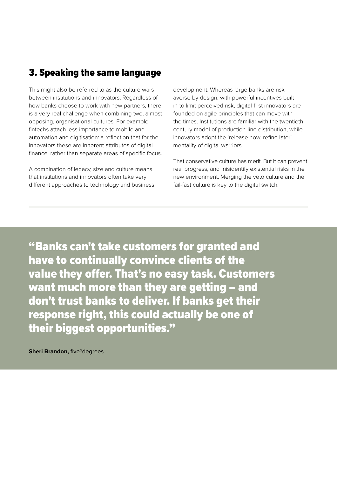## 3. Speaking the same language

This might also be referred to as the culture wars between institutions and innovators. Regardless of how banks choose to work with new partners, there is a very real challenge when combining two, almost opposing, organisational cultures. For example, fintechs attach less importance to mobile and automation and digitisation: a reflection that for the innovators these are inherent attributes of digital finance, rather than separate areas of specific focus.

A combination of legacy, size and culture means that institutions and innovators often take very different approaches to technology and business development. Whereas large banks are risk averse by design, with powerful incentives built in to limit perceived risk, digital-first innovators are founded on agile principles that can move with the times. Institutions are familiar with the twentieth century model of production-line distribution, while innovators adopt the 'release now, refine later' mentality of digital warriors.

That conservative culture has merit. But it can prevent real progress, and misidentify existential risks in the new environment. Merging the veto culture and the fail-fast culture is key to the digital switch.

"Banks can't take customers for granted and have to continually convince clients of the value they offer. That's no easy task. Customers want much more than they are getting – and don't trust banks to deliver. If banks get their response right, this could actually be one of their biggest opportunities."

**Sheri Brandon, five<sup>o</sup>degrees**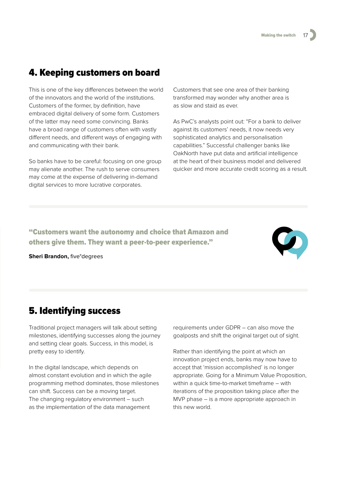### 4. Keeping customers on board

This is one of the key differences between the world of the innovators and the world of the institutions. Customers of the former, by definition, have embraced digital delivery of some form. Customers of the latter may need some convincing. Banks have a broad range of customers often with vastly different needs, and different ways of engaging with and communicating with their bank.

So banks have to be careful: focusing on one group may alienate another. The rush to serve consumers may come at the expense of delivering in-demand digital services to more lucrative corporates.

Customers that see one area of their banking transformed may wonder why another area is as slow and staid as ever.

As PwC's analysts point out: "For a bank to deliver against its customers' needs, it now needs very sophisticated analytics and personalisation capabilities." Successful challenger banks like OakNorth have put data and artificial intelligence at the heart of their business model and delivered quicker and more accurate credit scoring as a result.

"Customers want the autonomy and choice that Amazon and others give them. They want a peer-to-peer experience."

**Sheri Brandon,** five°degrees

# 5. Identifying success

Traditional project managers will talk about setting milestones, identifying successes along the journey and setting clear goals. Success, in this model, is pretty easy to identify.

In the digital landscape, which depends on almost constant evolution and in which the agile programming method dominates, those milestones can shift. Success can be a moving target. The changing regulatory environment – such as the implementation of the data management

requirements under GDPR – can also move the goalposts and shift the original target out of sight.

Rather than identifying the point at which an innovation project ends, banks may now have to accept that 'mission accomplished' is no longer appropriate. Going for a Minimum Value Proposition, within a quick time-to-market timeframe – with iterations of the proposition taking place after the MVP phase – is a more appropriate approach in this new world.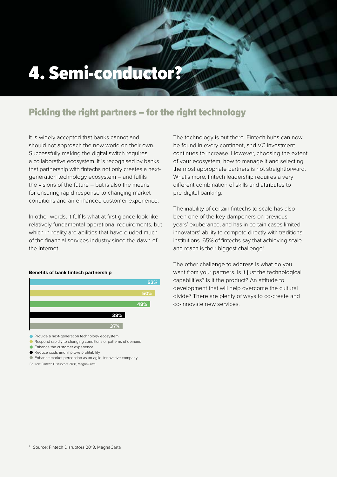# 4. Semi-conductor?

## Picking the right partners – for the right technology

It is widely accepted that banks cannot and should not approach the new world on their own. Successfully making the digital switch requires a collaborative ecosystem. It is recognised by banks that partnership with fintechs not only creates a nextgeneration technology ecosystem – and fulfils the visions of the future – but is also the means for ensuring rapid response to changing market conditions and an enhanced customer experience.

In other words, it fulfils what at first glance look like relatively fundamental operational requirements, but which in reality are abilities that have eluded much of the financial services industry since the dawn of the internet.

#### **Benefits of bank fintech partnership**



- **•** Provide a next-generation technology ecosystem
- Respond rapidly to changing conditions or patterns of demand
- **C** Enhance the customer experience
- Reduce costs and improve profitability
- Enhance market perception as an agile, innovative company

Source: Fintech Disruptors 2018, MagnaCarta

The technology is out there. Fintech hubs can now be found in every continent, and VC investment continues to increase. However, choosing the extent of your ecosystem, how to manage it and selecting the most appropriate partners is not straightforward. What's more, fintech leadership requires a very different combination of skills and attributes to pre-digital banking.

The inability of certain fintechs to scale has also been one of the key dampeners on previous years' exuberance, and has in certain cases limited innovators' ability to compete directly with traditional institutions. 65% of fintechs say that achieving scale and reach is their biggest challenge<sup>1</sup>.

The other challenge to address is what do you want from your partners. Is it just the technological capabilities? Is it the product? An attitude to development that will help overcome the cultural divide? There are plenty of ways to co-create and co-innovate new services.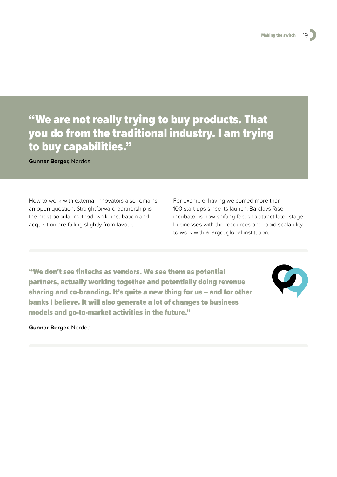## "We are not really trying to buy products. That you do from the traditional industry. I am trying to buy capabilities."

**Gunnar Berger,** Nordea

How to work with external innovators also remains an open question. Straightforward partnership is the most popular method, while incubation and acquisition are falling slightly from favour.

For example, having welcomed more than 100 start-ups since its launch, Barclays Rise incubator is now shifting focus to attract later-stage businesses with the resources and rapid scalability to work with a large, global institution.

"We don't see fintechs as vendors. We see them as potential partners, actually working together and potentially doing revenue sharing and co-branding. It's quite a new thing for us – and for other banks I believe. It will also generate a lot of changes to business models and go-to-market activities in the future."



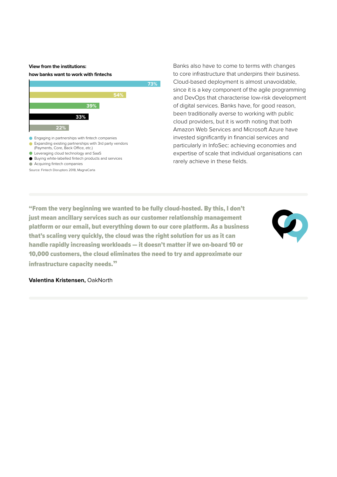#### **View from the institutions:**

#### **how banks want to work with fintechs**



- **C** Leveraging cloud technology and SaaS
- Buying white-labelled fintech products and services
- Acquiring fintech companies

Source: Fintech Disruptors 2018, MagnaCarta

Banks also have to come to terms with changes to core infrastructure that underpins their business. Cloud-based deployment is almost unavoidable, since it is a key component of the agile programming and DevOps that characterise low-risk development of digital services. Banks have, for good reason, been traditionally averse to working with public cloud providers, but it is worth noting that both Amazon Web Services and Microsoft Azure have invested significantly in financial services and particularly in InfoSec: achieving economies and expertise of scale that individual organisations can rarely achieve in these fields.

"From the very beginning we wanted to be fully cloud-hosted. By this, I don't just mean ancillary services such as our customer relationship management platform or our email, but everything down to our core platform. As a business that's scaling very quickly, the cloud was the right solution for us as it can handle rapidly increasing workloads — it doesn't matter if we on-board 10 or 10,000 customers, the cloud eliminates the need to try and approximate our infrastructure capacity needs."



#### **Valentina Kristensen,** OakNorth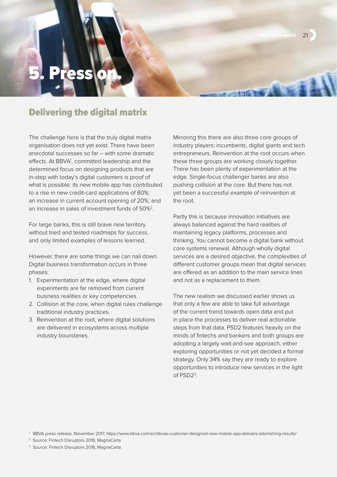# Text

#### Delivering the digital matrix

The challenge here is that the truly digital matrix organisation does not yet exist. There have been anecdotal successes so far – with some dramatic effects. At BBVA<sup>1</sup>, committed leadership and the determined focus on designing products that are in-step with today's digital customers is proof of what is possible: its new mobile app has contributed to a rise in new credit-card applications of 80%; an increase in current account opening of 20%; and an increase in sales of investment funds of 50%2.

For large banks, this is still brave new territory without tried and tested roadmaps for success, and only limited examples of lessons learned.

However, there are some things we can nail down. Digital business transformation occurs in three phases:

- 1. Experimentation at the edge, where digital experiments are far removed from current business realities or key competencies.
- 2. Collision at the core, when digital rules challenge traditional industry practices.
- 3. Reinvention at the root, where digital solutions are delivered in ecosystems across multiple industry boundaries.

Mirroring this there are also three core groups of industry players: incumbents, digital giants and tech entrepreneurs. Reinvention at the root occurs when these three groups are working closely together. There has been plenty of experimentation at the edge. Single-focus challenger banks are also pushing collision at the core. But there has not yet been a successful example of reinvention at the root.

Making the switch 21

Partly this is because innovation initiatives are always balanced against the hard realities of maintaining legacy platforms, processes and thinking. You cannot become a digital bank without core systems renewal. Although wholly digital services are a desired objective, the complexities of different customer groups mean that digital services are offered as an addition to the main service lines and not as a replacement to them.

The new realism we discussed earlier shows us that only a few are able to take full advantage of the current trend towards open data and put in place the processes to deliver real actionable steps from that data. PSD2 features heavily on the minds of fintechs and bankers and both groups are adopting a largely wait-and-see approach, either exploring opportunities or not yet decided a formal strategy. Only 34% say they are ready to explore opportunities to introduce new services in the light of PSD2<sup>3</sup>.

<sup>1</sup> BBVA press release, November 2017, <https://www.bbva.com/en/bbvas-customer-designed-new-mobile-app-delivers-astonishing-results/>

<sup>2</sup> Source: Fintech Disruptors 2018, MagnaCarta

<sup>&</sup>lt;sup>3</sup> Source: Fintech Disruptors 2018, MagnaCarta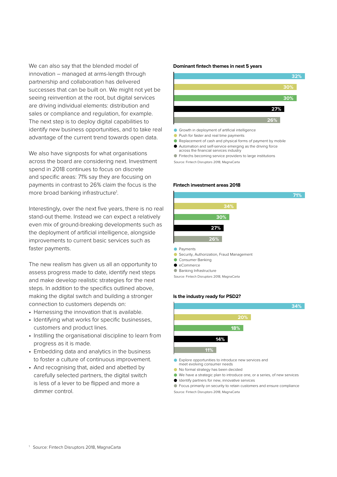We can also say that the blended model of innovation – managed at arms-length through partnership and collaboration has delivered successes that can be built on. We might not yet be seeing reinvention at the root, but digital services are driving individual elements: distribution and sales or compliance and regulation, for example. The next step is to deploy digital capabilities to identify new business opportunities, and to take real advantage of the current trend towards open data.

We also have signposts for what organisations across the board are considering next. Investment spend in 2018 continues to focus on discrete and specific areas: 71% say they are focusing on payments in contrast to 26% claim the focus is the more broad banking infrastructure<sup>1</sup>.

Interestingly, over the next five years, there is no real stand-out theme. Instead we can expect a relatively even mix of ground-breaking developments such as the deployment of artificial intelligence, alongside improvements to current basic services such as faster payments.

The new realism has given us all an opportunity to assess progress made to date, identify next steps and make develop realistic strategies for the next steps. In addition to the specifics outlined above, making the digital switch and building a stronger connection to customers depends on:

- Harnessing the innovation that is available.
- Identifying what works for specific businesses, customers and product lines.
- Instilling the organisational discipline to learn from progress as it is made.
- Embedding data and analytics in the business to foster a culture of continuous improvement.
- And recognising that, aided and abetted by carefully selected partners, the digital switch is less of a lever to be flipped and more a dimmer control.

#### **Dominant fintech themes in next 5 years**



- 
- **Push for faster and real time payments**
- Replacement of cash and physical forms of payment by mobile Automation and self-service emerging as the driving force
- across the financial services industry Fintechs becoming service providers to large institutions

Source: Fintech Disruptors 2018, MagnaCarta

#### **Fintech investment areas 2018**



- **Consumer Banking**
- $\bullet$  eCommerce
- 
- **Banking Infrastructure**
- Source: Fintech Disruptors 2018, MagnaCarta

#### **Is the industry ready for PSD2?**



- Explore opportunities to introduce new services and meet evolving consumer needs
- No formal strategy has been decided
- We have a strategic plan to introduce one, or a series, of new services
- Identify partners for new, innovative services

Focus primarily on security to retain customers and ensure compliance Source: Fintech Disruptors 2018, MagnaCarta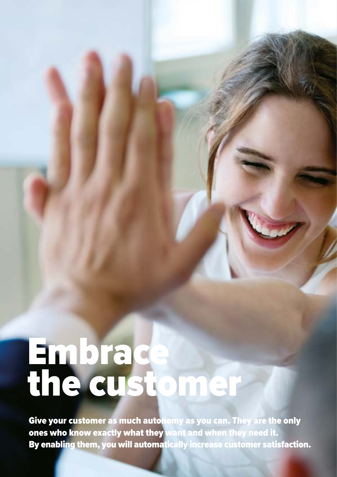# Embrace the customer

Give your customer as much autonomy as you can. They are the only ones who know exactly what they want and when they need it. By enabling them, you will automatically increase customer satisfaction.